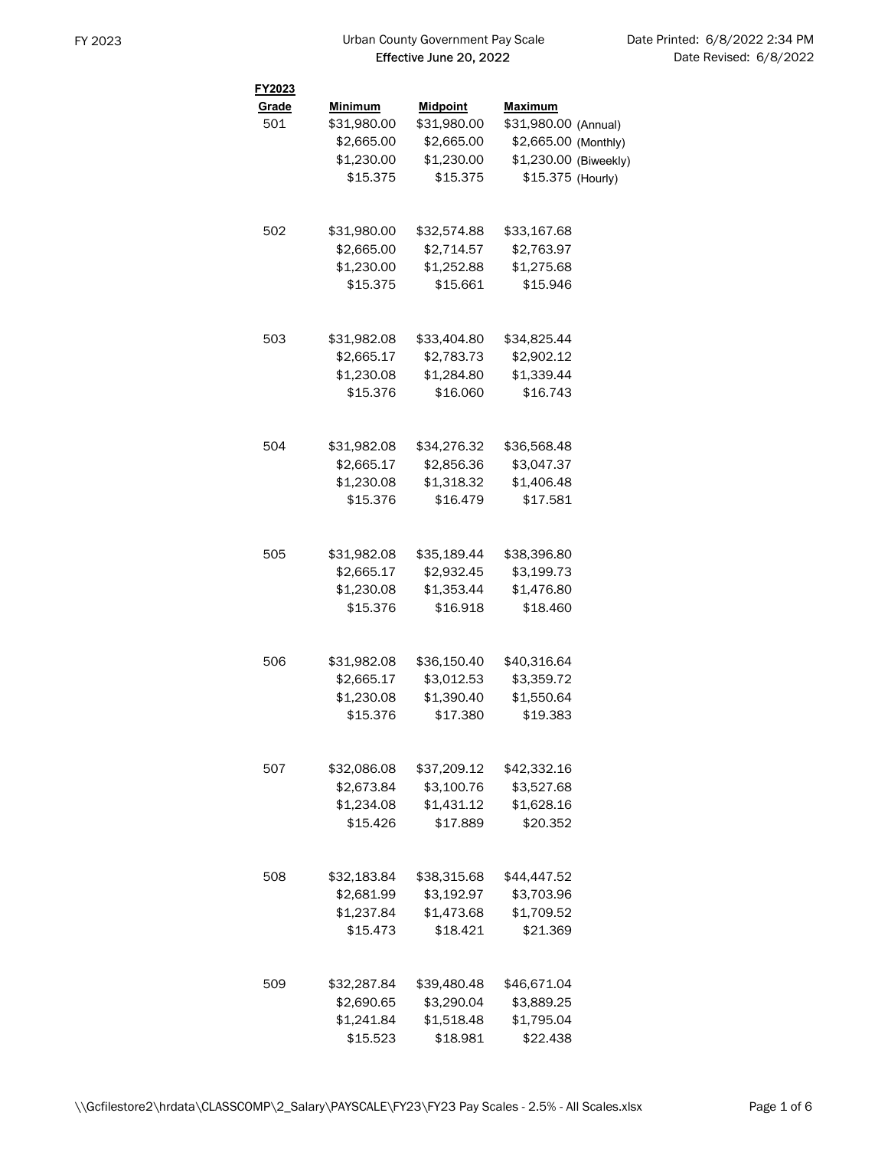| FY2023 |                |                 |                       |  |
|--------|----------------|-----------------|-----------------------|--|
| Grade  | <b>Minimum</b> | <b>Midpoint</b> | <b>Maximum</b>        |  |
| 501    | \$31,980.00    | \$31,980.00     | \$31,980.00 (Annual)  |  |
|        | \$2,665.00     | \$2,665.00      | \$2,665.00 (Monthly)  |  |
|        | \$1,230.00     | \$1,230.00      | \$1,230.00 (Biweekly) |  |
|        | \$15.375       | \$15.375        | \$15.375 (Hourly)     |  |
|        |                |                 |                       |  |
| 502    | \$31,980.00    | \$32,574.88     | \$33,167.68           |  |
|        | \$2,665.00     | \$2,714.57      | \$2,763.97            |  |
|        | \$1,230.00     | \$1,252.88      | \$1,275.68            |  |
|        | \$15.375       | \$15.661        | \$15.946              |  |
| 503    | \$31,982.08    | \$33,404.80     | \$34,825.44           |  |
|        | \$2,665.17     | \$2,783.73      | \$2,902.12            |  |
|        | \$1,230.08     | \$1,284.80      | \$1,339.44            |  |
|        | \$15.376       | \$16.060        | \$16.743              |  |
| 504    |                | \$34,276.32     | \$36,568.48           |  |
|        | \$31,982.08    |                 |                       |  |
|        | \$2,665.17     | \$2,856.36      | \$3,047.37            |  |
|        | \$1,230.08     | \$1,318.32      | \$1,406.48            |  |
|        | \$15.376       | \$16.479        | \$17.581              |  |
| 505    | \$31,982.08    | \$35,189.44     | \$38,396.80           |  |
|        | \$2,665.17     | \$2,932.45      | \$3,199.73            |  |
|        | \$1,230.08     | \$1,353.44      | \$1,476.80            |  |
|        | \$15.376       | \$16.918        | \$18.460              |  |
| 506    | \$31,982.08    | \$36,150.40     | \$40,316.64           |  |
|        | \$2,665.17     | \$3,012.53      | \$3,359.72            |  |
|        | \$1,230.08     | \$1,390.40      | \$1,550.64            |  |
|        | \$15.376       | \$17.380        | \$19.383              |  |
|        |                |                 |                       |  |
| 507    | \$32,086.08    | \$37,209.12     | \$42,332.16           |  |
|        | \$2,673.84     | \$3,100.76      | \$3,527.68            |  |
|        | \$1.234.08     | \$1,431.12      | \$1,628.16            |  |
|        | \$15.426       | \$17.889        | \$20.352              |  |
| 508    | \$32,183.84    | \$38,315.68     | \$44,447.52           |  |
|        | \$2,681.99     | \$3,192.97      | \$3,703.96            |  |
|        | \$1,237.84     | \$1,473.68      | \$1,709.52            |  |
|        | \$15.473       | \$18.421        | \$21.369              |  |
|        |                |                 |                       |  |
| 509    | \$32,287.84    | \$39,480.48     | \$46,671.04           |  |
|        | \$2,690.65     | \$3,290.04      | \$3,889.25            |  |
|        | \$1,241.84     | \$1,518.48      | \$1,795.04            |  |
|        | \$15.523       | \$18.981        | \$22.438              |  |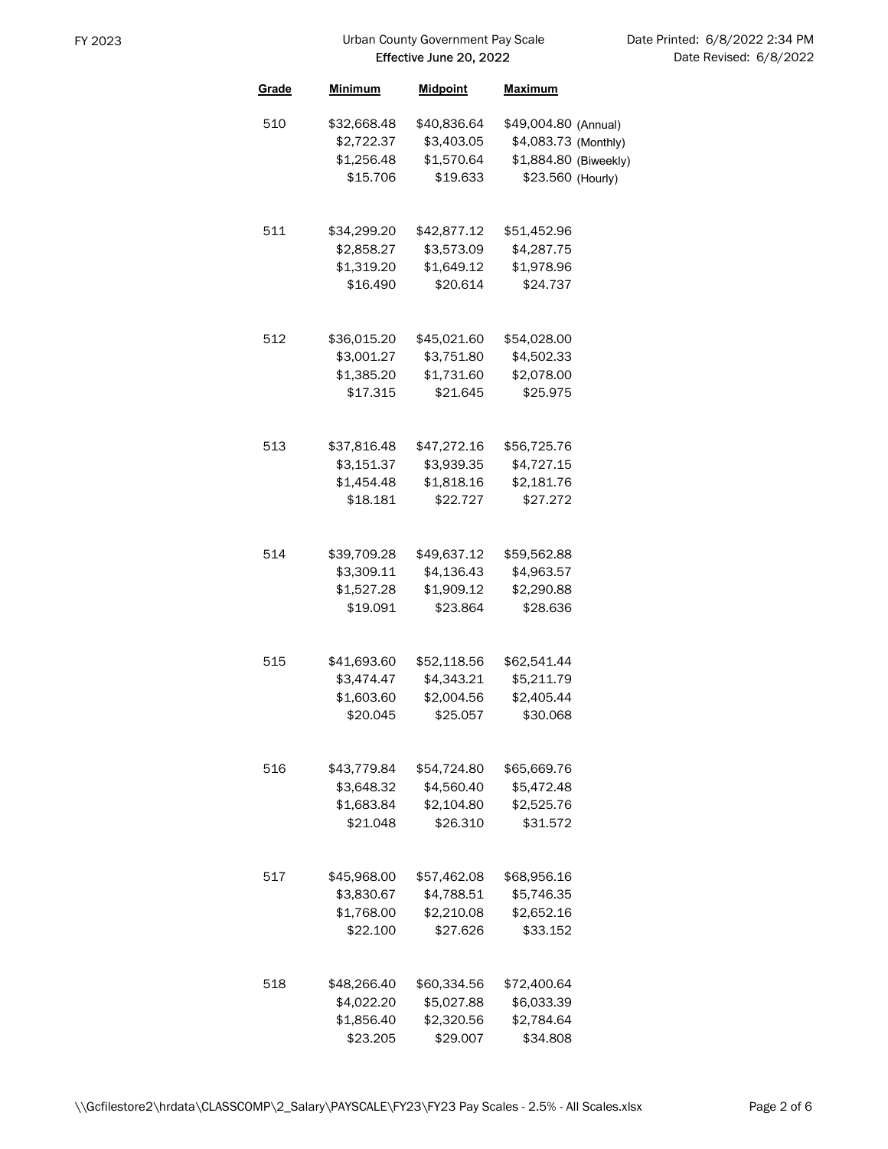| Grade | Minimum                  | <b>Midpoint</b>        | <b>Maximum</b>           |  |
|-------|--------------------------|------------------------|--------------------------|--|
| 510   | \$32,668.48              | \$40,836.64            | \$49,004.80 (Annual)     |  |
|       | \$2,722.37               | \$3,403.05             | \$4,083.73 (Monthly)     |  |
|       | \$1,256.48               | \$1,570.64             | \$1,884.80 (Biweekly)    |  |
|       | \$15.706                 | \$19.633               | \$23.560 (Hourly)        |  |
|       |                          |                        |                          |  |
| 511   | \$34,299.20              | \$42,877.12            | \$51,452.96              |  |
|       | \$2,858.27               | \$3,573.09             | \$4,287.75               |  |
|       | \$1,319.20               | \$1,649.12             | \$1,978.96               |  |
|       | \$16.490                 | \$20.614               | \$24.737                 |  |
| 512   | \$36,015.20              | \$45,021.60            | \$54,028.00              |  |
|       | \$3,001.27               | \$3,751.80             | \$4,502.33               |  |
|       | \$1,385.20               | \$1,731.60             | \$2,078.00               |  |
|       | \$17.315                 | \$21.645               | \$25.975                 |  |
|       |                          |                        |                          |  |
| 513   | \$37,816.48              | \$47,272.16            | \$56,725.76              |  |
|       | \$3,151.37               | \$3,939.35             | \$4,727.15               |  |
|       | \$1,454.48               | \$1.818.16             | \$2,181.76               |  |
|       | \$18.181                 | \$22.727               | \$27.272                 |  |
|       |                          |                        |                          |  |
| 514   | \$39,709.28              | \$49,637.12            | \$59,562.88              |  |
|       | \$3,309.11               | \$4,136.43             | \$4,963.57               |  |
|       | \$1,527.28               | \$1,909.12             | \$2,290.88               |  |
|       | \$19.091                 | \$23.864               | \$28.636                 |  |
|       |                          |                        |                          |  |
| 515   | \$41,693.60              | \$52,118.56            | \$62,541.44              |  |
|       | \$3,474.47               | \$4,343.21             | \$5,211.79               |  |
|       | \$1,603.60               | \$2,004.56             | \$2,405.44               |  |
|       | \$20.045                 | \$25.057               | \$30,068                 |  |
| 516   | \$43,779.84              | \$54,724.80            | \$65,669.76              |  |
|       |                          | \$4,560.40             |                          |  |
|       | \$3,648.32<br>\$1,683.84 |                        | \$5,472.48<br>\$2,525.76 |  |
|       | \$21.048                 | \$2,104.80<br>\$26.310 | \$31.572                 |  |
|       |                          |                        |                          |  |
| 517   | \$45,968.00              | \$57,462.08            | \$68,956.16              |  |
|       | \$3,830.67               | \$4,788.51             | \$5,746.35               |  |
|       | \$1.768.00               | \$2,210.08             | \$2,652.16               |  |
|       | \$22.100                 | \$27.626               | \$33.152                 |  |
|       |                          |                        |                          |  |
| 518   | \$48,266.40              | \$60,334.56            | \$72,400.64              |  |
|       | \$4,022.20               | \$5,027.88             | \$6,033.39               |  |
|       | \$1,856.40<br>\$23.205   | \$2,320.56<br>\$29.007 | \$2,784.64<br>\$34.808   |  |
|       |                          |                        |                          |  |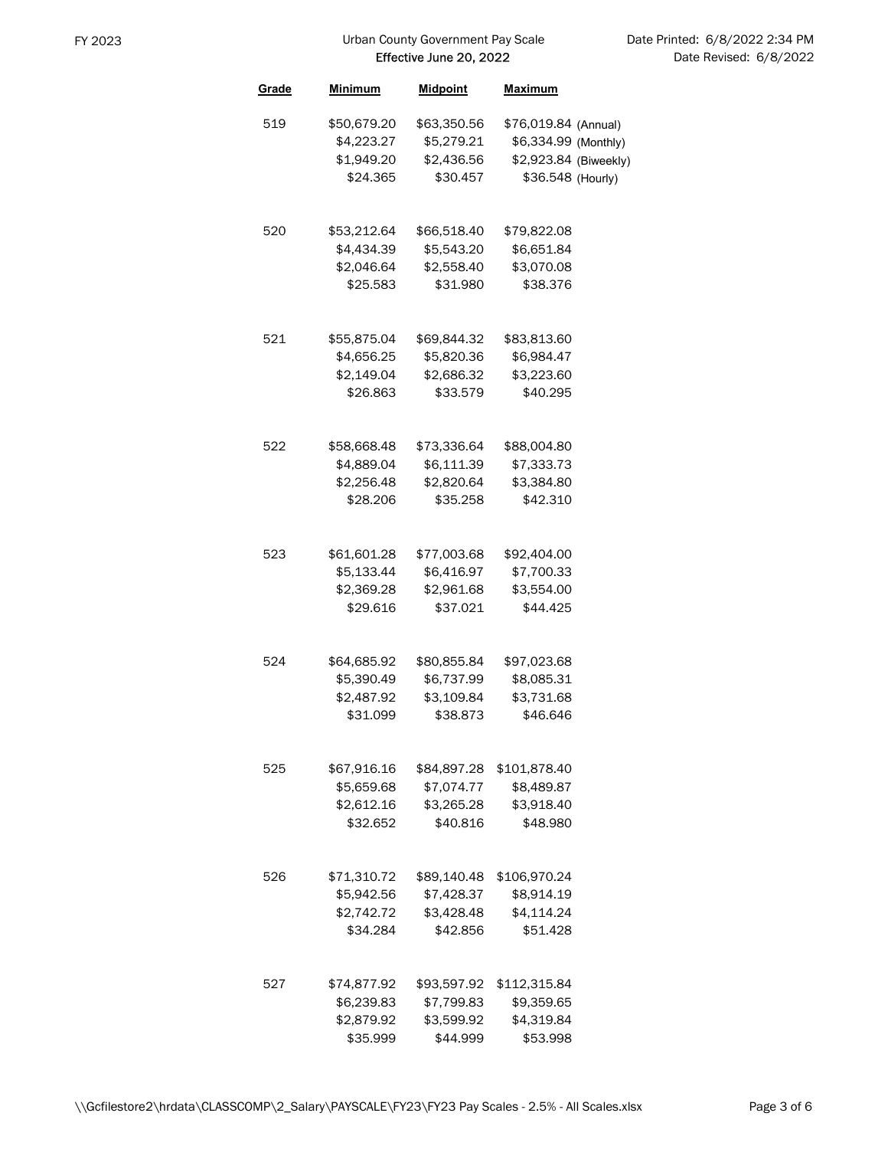| Grade | <u>Minimum</u>                                      | <b>Midpoint</b>                                     | Maximum                                                                                    |  |
|-------|-----------------------------------------------------|-----------------------------------------------------|--------------------------------------------------------------------------------------------|--|
| 519   | \$50,679.20<br>\$4,223.27<br>\$1,949.20<br>\$24.365 | \$63,350.56<br>\$5,279.21<br>\$2,436.56<br>\$30.457 | \$76,019.84 (Annual)<br>\$6,334.99 (Monthly)<br>\$2,923.84 (Biweekly)<br>\$36.548 (Hourly) |  |
| 520   | \$53,212.64<br>\$4,434.39<br>\$2,046.64<br>\$25.583 | \$66,518.40<br>\$5,543.20<br>\$2,558.40<br>\$31.980 | \$79,822.08<br>\$6,651.84<br>\$3,070.08<br>\$38.376                                        |  |
| 521   | \$55,875.04<br>\$4,656.25<br>\$2,149.04<br>\$26.863 | \$69,844.32<br>\$5,820.36<br>\$2,686.32<br>\$33.579 | \$83,813.60<br>\$6,984.47<br>\$3,223.60<br>\$40.295                                        |  |
| 522   | \$58,668.48<br>\$4,889.04<br>\$2,256.48<br>\$28.206 | \$73,336.64<br>\$6,111.39<br>\$2,820.64<br>\$35.258 | \$88,004.80<br>\$7,333.73<br>\$3,384.80<br>\$42.310                                        |  |
| 523   | \$61,601.28<br>\$5,133.44<br>\$2,369.28<br>\$29.616 | \$77,003.68<br>\$6,416.97<br>\$2,961.68<br>\$37.021 | \$92,404.00<br>\$7,700.33<br>\$3,554.00<br>\$44.425                                        |  |
| 524   | \$64,685.92<br>\$5,390.49<br>\$2,487.92<br>\$31.099 | \$80,855.84<br>\$6,737.99<br>\$3,109.84<br>\$38.873 | \$97,023.68<br>\$8,085.31<br>\$3,731.68<br>\$46.646                                        |  |
| 525   | \$67,916.16<br>\$5,659.68<br>\$2,612.16<br>\$32.652 | \$84,897.28<br>\$7,074.77<br>\$3,265.28<br>\$40.816 | \$101,878.40<br>\$8,489.87<br>\$3,918.40<br>\$48.980                                       |  |
| 526   | \$71,310.72<br>\$5,942.56<br>\$2,742.72<br>\$34.284 | \$89,140.48<br>\$7,428.37<br>\$3,428.48<br>\$42.856 | \$106,970.24<br>\$8,914.19<br>\$4,114.24<br>\$51.428                                       |  |
| 527   | \$74,877.92<br>\$6,239.83<br>\$2,879.92<br>\$35.999 | \$93,597.92<br>\$7,799.83<br>\$3,599.92<br>\$44.999 | \$112,315.84<br>\$9,359.65<br>\$4,319.84<br>\$53.998                                       |  |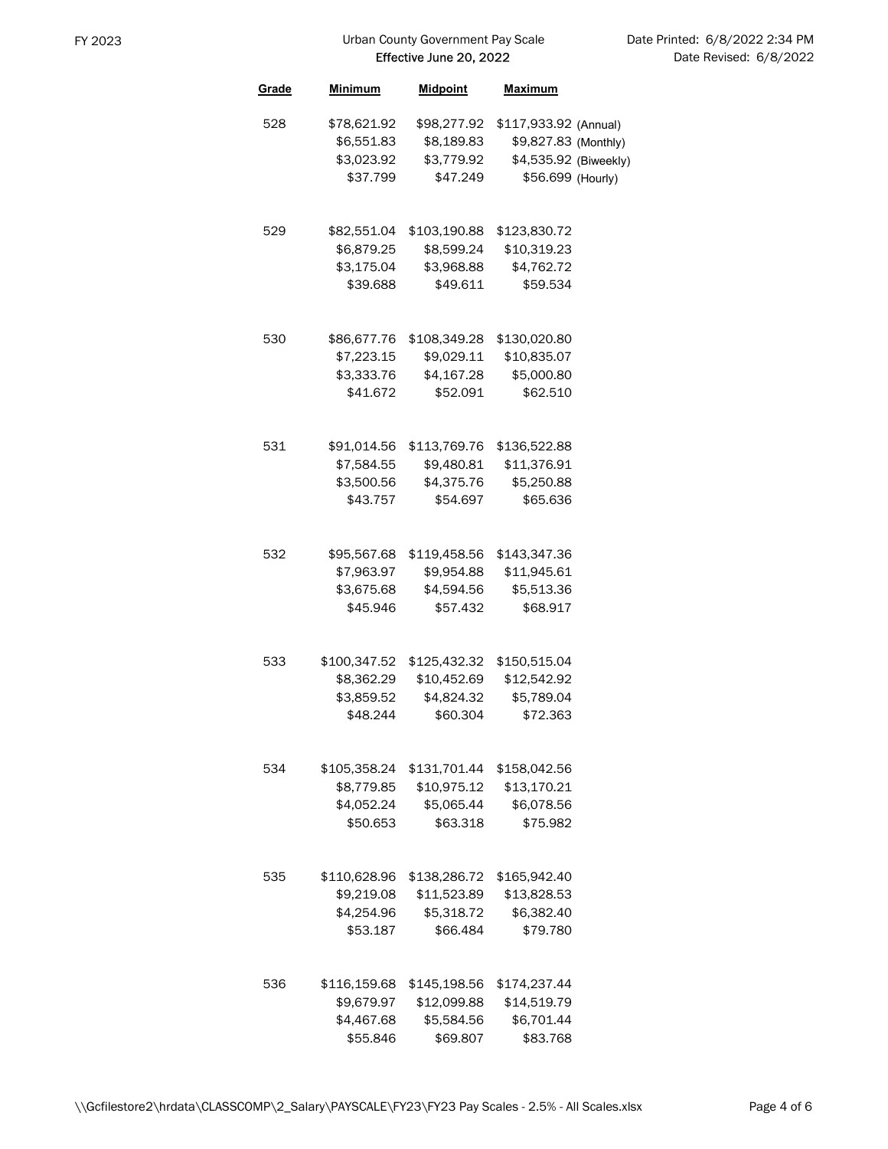| Grade | <u>Minimum</u> | <b>Midpoint</b> | <b>Maximum</b>        |  |
|-------|----------------|-----------------|-----------------------|--|
| 528   | \$78,621.92    | \$98,277.92     | \$117,933.92 (Annual) |  |
|       | \$6,551.83     | \$8,189.83      | \$9,827.83 (Monthly)  |  |
|       | \$3,023.92     | \$3,779.92      | \$4,535.92 (Biweekly) |  |
|       | \$37.799       | \$47.249        | \$56.699 (Hourly)     |  |
|       |                |                 |                       |  |
| 529   | \$82,551.04    | \$103,190.88    | \$123,830.72          |  |
|       | \$6,879.25     | \$8,599.24      | \$10,319.23           |  |
|       | \$3,175.04     | \$3,968.88      | \$4,762.72            |  |
|       | \$39.688       | \$49.611        | \$59.534              |  |
|       |                |                 |                       |  |
| 530   | \$86,677.76    | \$108,349.28    | \$130,020.80          |  |
|       | \$7,223.15     | \$9,029.11      | \$10,835.07           |  |
|       | \$3,333.76     | \$4,167.28      | \$5,000.80            |  |
|       | \$41.672       | \$52.091        | \$62.510              |  |
|       |                |                 |                       |  |
| 531   | \$91,014.56    | \$113,769.76    | \$136,522.88          |  |
|       | \$7,584.55     | \$9,480.81      | \$11,376.91           |  |
|       | \$3,500.56     | \$4,375.76      | \$5,250.88            |  |
|       | \$43.757       | \$54.697        | \$65.636              |  |
|       |                |                 |                       |  |
| 532   | \$95,567.68    | \$119,458.56    | \$143,347.36          |  |
|       | \$7,963.97     | \$9,954.88      | \$11,945.61           |  |
|       | \$3,675.68     | \$4,594.56      | \$5,513.36            |  |
|       | \$45.946       | \$57.432        | \$68.917              |  |
|       |                |                 |                       |  |
| 533   | \$100,347.52   | \$125,432.32    | \$150,515.04          |  |
|       | \$8,362.29     | \$10,452.69     | \$12,542.92           |  |
|       | \$3,859.52     | \$4,824.32      | \$5,789.04            |  |
|       | \$48.244       | \$60.304        | \$72.363              |  |
|       |                |                 |                       |  |
| 534   | \$105,358.24   | \$131,701.44    | \$158,042.56          |  |
|       | \$8,779.85     | \$10,975.12     | \$13,170.21           |  |
|       | \$4,052.24     | \$5,065.44      | \$6,078.56            |  |
|       | \$50.653       | \$63.318        | \$75.982              |  |
|       |                |                 |                       |  |
| 535   | \$110,628.96   | \$138,286.72    | \$165,942.40          |  |
|       | \$9,219.08     | \$11,523.89     | \$13,828.53           |  |
|       | \$4,254.96     | \$5,318.72      | \$6,382.40            |  |
|       | \$53.187       | \$66.484        | \$79.780              |  |
|       |                |                 |                       |  |
| 536   | \$116,159.68   | \$145,198.56    | \$174,237.44          |  |
|       | \$9,679.97     | \$12,099.88     | \$14,519.79           |  |
|       | \$4,467.68     | \$5,584.56      | \$6,701.44            |  |
|       | \$55.846       | \$69.807        | \$83.768              |  |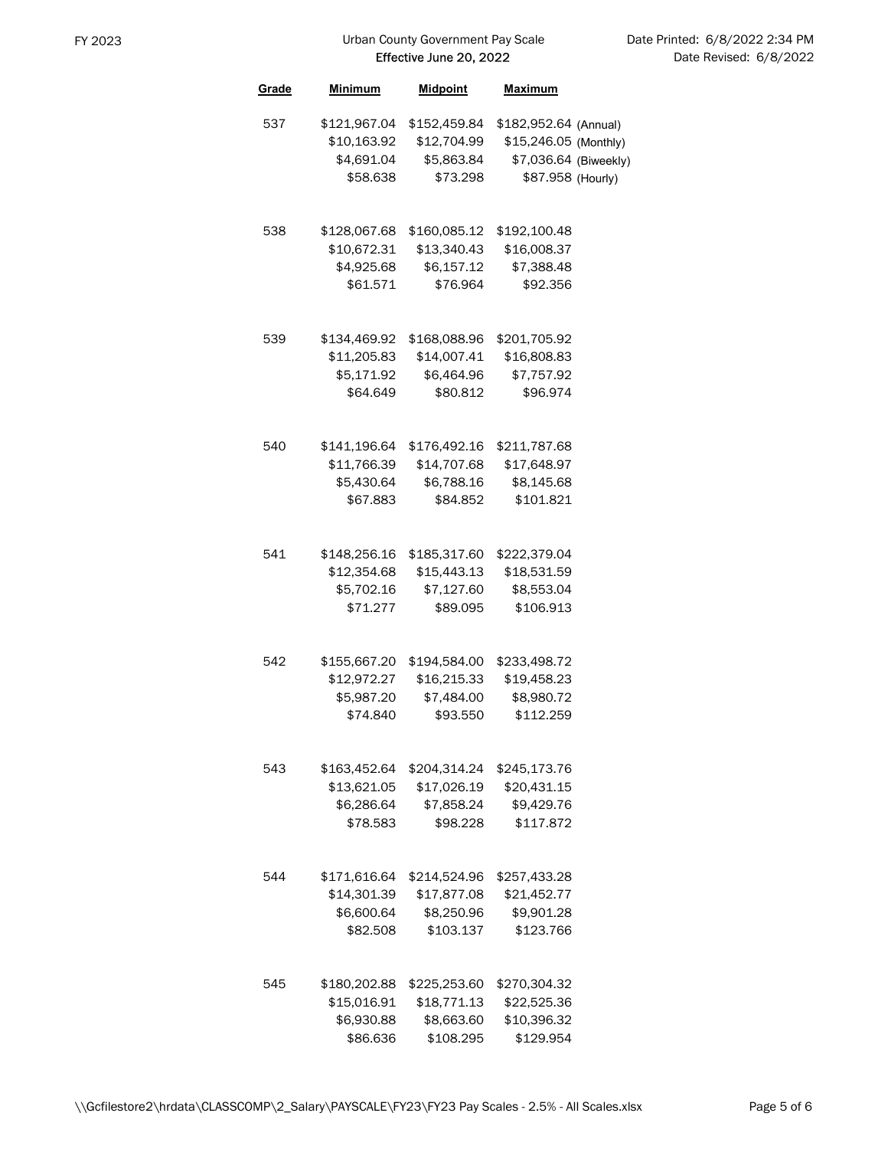| Grade | Minimum                                               | <b>Midpoint</b>                                        | <b>Maximum</b>                                                                               |  |
|-------|-------------------------------------------------------|--------------------------------------------------------|----------------------------------------------------------------------------------------------|--|
| 537   | \$121,967.04<br>\$10,163.92<br>\$4,691.04<br>\$58.638 | \$152,459.84<br>\$12,704.99<br>\$5,863.84<br>\$73.298  | \$182,952.64 (Annual)<br>\$15,246.05 (Monthly)<br>\$7,036.64 (Biweekly)<br>\$87.958 (Hourly) |  |
| 538   | \$128,067.68<br>\$10,672.31<br>\$4,925.68<br>\$61.571 | \$160,085.12<br>\$13,340.43<br>\$6,157.12<br>\$76.964  | \$192,100.48<br>\$16,008.37<br>\$7,388.48<br>\$92,356                                        |  |
| 539   | \$134,469.92<br>\$11,205.83<br>\$5,171.92<br>\$64,649 | \$168,088.96<br>\$14,007.41<br>\$6,464.96<br>\$80.812  | \$201,705.92<br>\$16,808.83<br>\$7,757.92<br>\$96.974                                        |  |
| 540   | \$141,196.64<br>\$11,766.39<br>\$5,430.64<br>\$67.883 | \$176,492.16<br>\$14,707.68<br>\$6,788.16<br>\$84.852  | \$211,787.68<br>\$17,648.97<br>\$8,145.68<br>\$101.821                                       |  |
| 541   | \$148,256.16<br>\$12,354.68<br>\$5,702.16<br>\$71.277 | \$185,317.60<br>\$15,443.13<br>\$7,127.60<br>\$89.095  | \$222,379.04<br>\$18,531.59<br>\$8,553.04<br>\$106.913                                       |  |
| 542   | \$155,667.20<br>\$12,972.27<br>\$5,987.20<br>\$74.840 | \$194,584.00<br>\$16,215.33<br>\$7,484.00<br>\$93.550  | \$233,498.72<br>\$19,458.23<br>\$8,980.72<br>\$112.259                                       |  |
| 543   | \$163,452.64<br>\$13,621.05<br>\$6,286.64<br>\$78.583 | \$204,314.24<br>\$17,026.19<br>\$7,858.24<br>\$98.228  | \$245,173.76<br>\$20,431.15<br>\$9,429.76<br>\$117.872                                       |  |
| 544   | \$171,616.64<br>\$14,301.39<br>\$6,600.64<br>\$82.508 | \$214,524.96<br>\$17,877.08<br>\$8,250.96<br>\$103.137 | \$257,433.28<br>\$21,452.77<br>\$9,901.28<br>\$123.766                                       |  |
| 545   | \$180,202.88<br>\$15,016.91<br>\$6,930.88<br>\$86.636 | \$225,253.60<br>\$18,771.13<br>\$8,663.60<br>\$108.295 | \$270,304.32<br>\$22,525.36<br>\$10,396.32<br>\$129.954                                      |  |